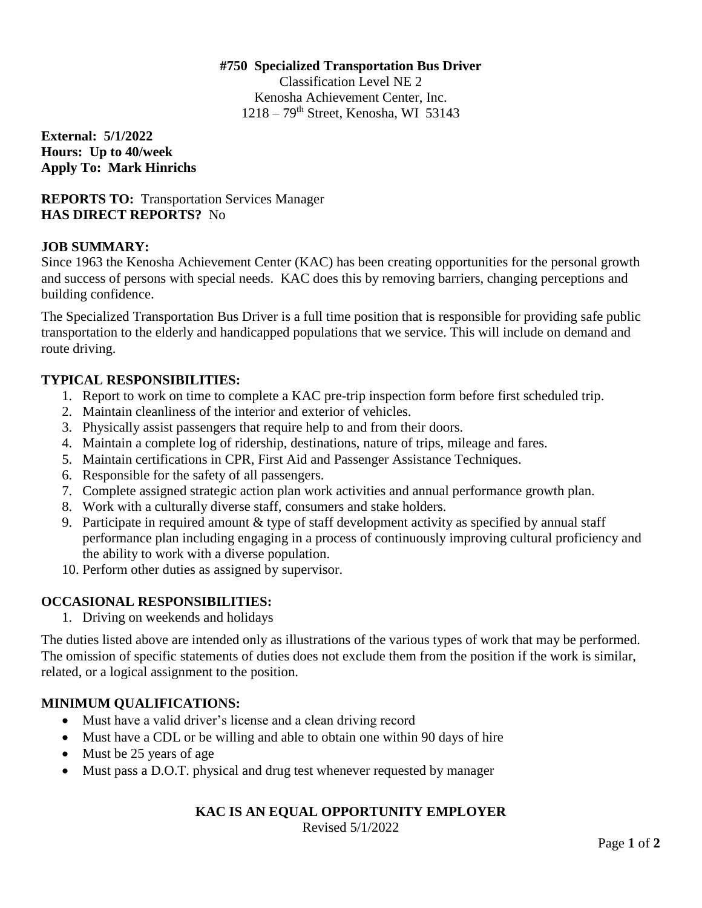#### **#750 Specialized Transportation Bus Driver**

Classification Level NE 2 Kenosha Achievement Center, Inc.  $1218 - 79$ <sup>th</sup> Street, Kenosha, WI 53143

**External: 5/1/2022 Hours: Up to 40/week Apply To: Mark Hinrichs** 

**REPORTS TO:** Transportation Services Manager **HAS DIRECT REPORTS?** No

### **JOB SUMMARY:**

Since 1963 the Kenosha Achievement Center (KAC) has been creating opportunities for the personal growth and success of persons with special needs. KAC does this by removing barriers, changing perceptions and building confidence.

The Specialized Transportation Bus Driver is a full time position that is responsible for providing safe public transportation to the elderly and handicapped populations that we service. This will include on demand and route driving.

### **TYPICAL RESPONSIBILITIES:**

- 1. Report to work on time to complete a KAC pre-trip inspection form before first scheduled trip.
- 2. Maintain cleanliness of the interior and exterior of vehicles.
- 3. Physically assist passengers that require help to and from their doors.
- 4. Maintain a complete log of ridership, destinations, nature of trips, mileage and fares.
- 5. Maintain certifications in CPR, First Aid and Passenger Assistance Techniques.
- 6. Responsible for the safety of all passengers.
- 7. Complete assigned strategic action plan work activities and annual performance growth plan.
- 8. Work with a culturally diverse staff, consumers and stake holders.
- 9. Participate in required amount & type of staff development activity as specified by annual staff performance plan including engaging in a process of continuously improving cultural proficiency and the ability to work with a diverse population.
- 10. Perform other duties as assigned by supervisor.

## **OCCASIONAL RESPONSIBILITIES:**

1. Driving on weekends and holidays

The duties listed above are intended only as illustrations of the various types of work that may be performed. The omission of specific statements of duties does not exclude them from the position if the work is similar, related, or a logical assignment to the position.

## **MINIMUM QUALIFICATIONS:**

- Must have a valid driver's license and a clean driving record
- Must have a CDL or be willing and able to obtain one within 90 days of hire
- Must be 25 years of age
- Must pass a D.O.T. physical and drug test whenever requested by manager

# **KAC IS AN EQUAL OPPORTUNITY EMPLOYER**

Revised 5/1/2022